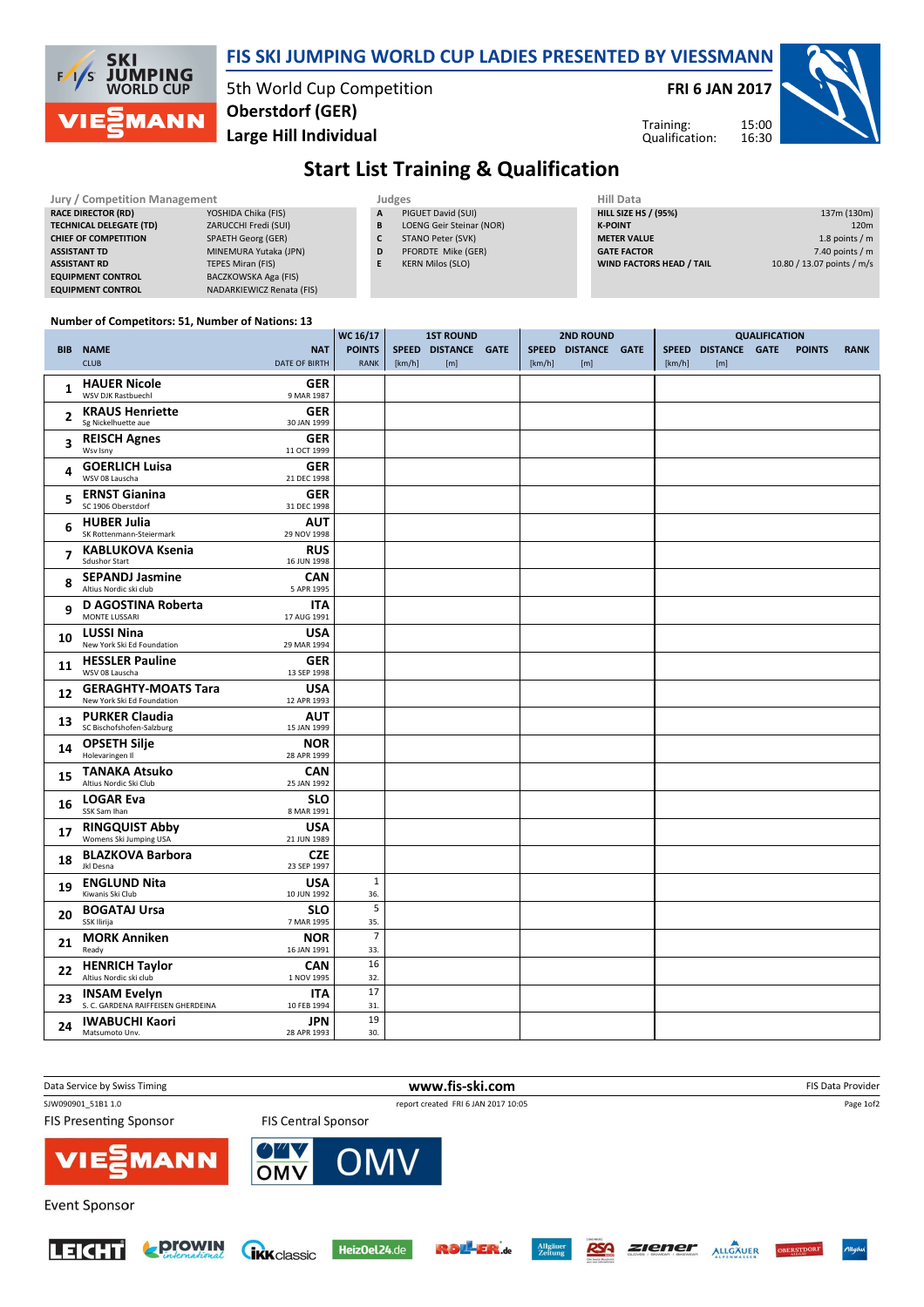

## FIS SKI JUMPING WORLD CUP LADIES PRESENTED BY VIESSMANN

5th World Cup Competition Large Hill Individual Oberstdorf (GER)

 $\frac{1}{\sqrt{6}}$ 

FRI 6 JAN 2017

Training: Qualification:



## Start List Training & Qualification

1ST ROUND

n.

| Jury / Competition Management  |                             |  | Judges |                          | <b>Hill Data</b>   |
|--------------------------------|-----------------------------|--|--------|--------------------------|--------------------|
| <b>RACE DIRECTOR (RD)</b>      | YOSHIDA Chika (FIS)         |  | A      | PIGUET David (SUI)       | <b>HILL SIZE H</b> |
| <b>TECHNICAL DELEGATE (TD)</b> | ZARUCCHI Fredi (SUI)        |  | B      | LOENG Geir Steinar (NOR) | <b>K-POINT</b>     |
| <b>CHIEF OF COMPETITION</b>    | <b>SPAETH Georg (GER)</b>   |  |        | STANO Peter (SVK)        | <b>METER VAI</b>   |
| <b>ASSISTANT TD</b>            | MINEMURA Yutaka (JPN)       |  | D      | PFORDTE Mike (GER)       | <b>GATE FACT</b>   |
| <b>ASSISTANT RD</b>            | <b>TEPES Miran (FIS)</b>    |  |        | <b>KERN Milos (SLO)</b>  | <b>WIND FACT</b>   |
| <b>EQUIPMENT CONTROL</b>       | <b>BACZKOWSKA Aga (FIS)</b> |  |        |                          |                    |
| <b>EQUIPMENT CONTROL</b>       | NADARKIEWICZ Renata (FIS)   |  |        |                          |                    |

| <b>Hill Data</b>                |                            |
|---------------------------------|----------------------------|
| <b>HILL SIZE HS / (95%)</b>     | 137m (130m)                |
| <b>K-POINT</b>                  | 120 <sub>m</sub>           |
| <b>METER VALUE</b>              | 1.8 points $/m$            |
| <b>GATE FACTOR</b>              | 7.40 points $/m$           |
| <b>WIND FACTORS HEAD / TAIL</b> | 10.80 / 13.07 points / m/s |

QUALIFICATION

## Number of Competitors: 51, Number of Nations: 13

|                |                                                                                        | WC 16/17                     | <b>1ST ROUND</b> |                            | <b>2ND ROUND</b> |        |                            | <b>QUALIFICATION</b> |        |                            |  |               |             |
|----------------|----------------------------------------------------------------------------------------|------------------------------|------------------|----------------------------|------------------|--------|----------------------------|----------------------|--------|----------------------------|--|---------------|-------------|
|                | <b>BIB NAME</b><br><b>NAT</b><br><b>DATE OF BIRTH</b><br><b>CLUB</b>                   | <b>POINTS</b><br><b>RANK</b> | [km/h]           | SPEED DISTANCE GATE<br>[m] |                  | [km/h] | SPEED DISTANCE GATE<br>[m] |                      | [km/h] | SPEED DISTANCE GATE<br>[m] |  | <b>POINTS</b> | <b>RANK</b> |
| 1              | <b>HAUER Nicole</b><br><b>GER</b><br>WSV DJK Rastbuechl<br>9 MAR 1987                  |                              |                  |                            |                  |        |                            |                      |        |                            |  |               |             |
| $\overline{2}$ | <b>KRAUS Henriette</b><br><b>GER</b><br>Sg Nickelhuette aue<br>30 JAN 1999             |                              |                  |                            |                  |        |                            |                      |        |                            |  |               |             |
| 3              | <b>REISCH Agnes</b><br><b>GER</b><br>Wsv Isnv<br>11 OCT 1999                           |                              |                  |                            |                  |        |                            |                      |        |                            |  |               |             |
| 4              | <b>GOERLICH Luisa</b><br><b>GER</b><br>WSV 08 Lauscha<br>21 DEC 1998                   |                              |                  |                            |                  |        |                            |                      |        |                            |  |               |             |
| 5              | <b>ERNST Gianina</b><br><b>GER</b><br>SC 1906 Oberstdorf<br>31 DEC 1998                |                              |                  |                            |                  |        |                            |                      |        |                            |  |               |             |
| 6              | <b>AUT</b><br><b>HUBER Julia</b><br>SK Rottenmann-Steiermark<br>29 NOV 1998            |                              |                  |                            |                  |        |                            |                      |        |                            |  |               |             |
| 7              | <b>KABLUKOVA Ksenia</b><br><b>RUS</b><br><b>Sdushor Start</b><br>16 JUN 1998           |                              |                  |                            |                  |        |                            |                      |        |                            |  |               |             |
| 8              | <b>SEPANDJ Jasmine</b><br><b>CAN</b><br>Altius Nordic ski club<br>5 APR 1995           |                              |                  |                            |                  |        |                            |                      |        |                            |  |               |             |
| 9              | D AGOSTINA Roberta<br><b>ITA</b><br>MONTE LUSSARI<br>17 AUG 1991                       |                              |                  |                            |                  |        |                            |                      |        |                            |  |               |             |
| 10             | <b>USA</b><br><b>LUSSI Nina</b><br>New York Ski Ed Foundation<br>29 MAR 1994           |                              |                  |                            |                  |        |                            |                      |        |                            |  |               |             |
| 11             | <b>HESSLER Pauline</b><br><b>GER</b><br>WSV 08 Lauscha<br>13 SEP 1998                  |                              |                  |                            |                  |        |                            |                      |        |                            |  |               |             |
| 12             | <b>GERAGHTY-MOATS Tara</b><br><b>USA</b><br>New York Ski Ed Foundation<br>12 APR 1993  |                              |                  |                            |                  |        |                            |                      |        |                            |  |               |             |
| 13             | <b>PURKER Claudia</b><br>AUT<br>SC Bischofshofen-Salzburg<br>15 JAN 1999               |                              |                  |                            |                  |        |                            |                      |        |                            |  |               |             |
| 14             | <b>OPSETH Silje</b><br><b>NOR</b><br>Holevaringen II<br>28 APR 1999                    |                              |                  |                            |                  |        |                            |                      |        |                            |  |               |             |
| 15             | <b>TANAKA Atsuko</b><br><b>CAN</b><br>Altius Nordic Ski Club<br>25 JAN 1992            |                              |                  |                            |                  |        |                            |                      |        |                            |  |               |             |
| 16             | <b>LOGAR Eva</b><br><b>SLO</b><br>SSK Sam Ihan<br>8 MAR 1991                           |                              |                  |                            |                  |        |                            |                      |        |                            |  |               |             |
| 17             | <b>RINGQUIST Abby</b><br><b>USA</b><br>Womens Ski Jumping USA<br>21 JUN 1989           |                              |                  |                            |                  |        |                            |                      |        |                            |  |               |             |
| 18             | <b>BLAZKOVA Barbora</b><br><b>CZE</b><br>Jkl Desna<br>23 SEP 1997                      |                              |                  |                            |                  |        |                            |                      |        |                            |  |               |             |
| 19             | <b>ENGLUND Nita</b><br><b>USA</b><br>Kiwanis Ski Club<br>10 JUN 1992                   | $\mathbf{1}$<br>36.          |                  |                            |                  |        |                            |                      |        |                            |  |               |             |
| 20             | <b>BOGATAJ Ursa</b><br><b>SLO</b><br>SSK Ilirija<br>7 MAR 1995                         | 5<br>35.                     |                  |                            |                  |        |                            |                      |        |                            |  |               |             |
| 21             | <b>MORK Anniken</b><br><b>NOR</b><br>16 JAN 1991<br>Ready                              | $\overline{7}$<br>33.        |                  |                            |                  |        |                            |                      |        |                            |  |               |             |
| 22             | <b>HENRICH Taylor</b><br><b>CAN</b><br>Altius Nordic ski club<br>1 NOV 1995            | 16<br>32.                    |                  |                            |                  |        |                            |                      |        |                            |  |               |             |
| 23             | <b>ITA</b><br><b>INSAM Evelyn</b><br>S. C. GARDENA RAIFFEISEN GHERDEINA<br>10 FEB 1994 | 17<br>31.                    |                  |                            |                  |        |                            |                      |        |                            |  |               |             |
| 24             | <b>IWABUCHI Kaori</b><br><b>JPN</b><br>Matsumoto Unv.<br>28 APR 1993                   | 19<br>30.                    |                  |                            |                  |        |                            |                      |        |                            |  |               |             |











RSA